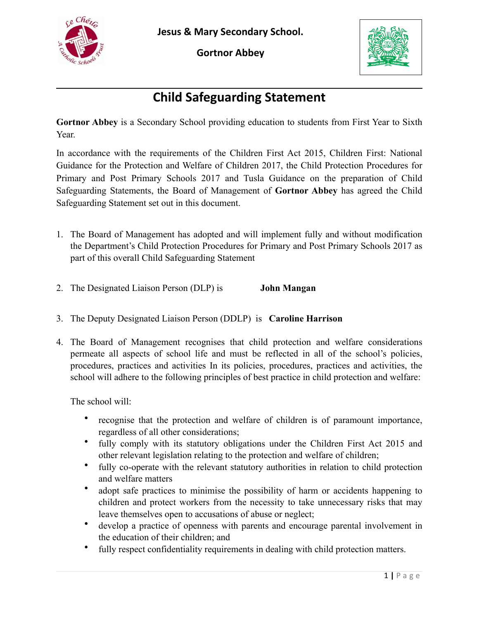

**Jesus & Mary Secondary School.** 

**Gortnor Abbey** 



## **Child Safeguarding Statement**

**Gortnor Abbey** is a Secondary School providing education to students from First Year to Sixth Year.

In accordance with the requirements of the Children First Act 2015, Children First: National Guidance for the Protection and Welfare of Children 2017, the Child Protection Procedures for Primary and Post Primary Schools 2017 and Tusla Guidance on the preparation of Child Safeguarding Statements, the Board of Management of **Gortnor Abbey** has agreed the Child Safeguarding Statement set out in this document.

- 1. The Board of Management has adopted and will implement fully and without modification the Department's Child Protection Procedures for Primary and Post Primary Schools 2017 as part of this overall Child Safeguarding Statement
- 2. The Designated Liaison Person (DLP) is **John Mangan**
- 3. The Deputy Designated Liaison Person (DDLP) is **Caroline Harrison**
- 4. The Board of Management recognises that child protection and welfare considerations permeate all aspects of school life and must be reflected in all of the school's policies, procedures, practices and activities In its policies, procedures, practices and activities, the school will adhere to the following principles of best practice in child protection and welfare:

The school will:

- recognise that the protection and welfare of children is of paramount importance, regardless of all other considerations;
- fully comply with its statutory obligations under the Children First Act 2015 and other relevant legislation relating to the protection and welfare of children;
- fully co-operate with the relevant statutory authorities in relation to child protection and welfare matters
- adopt safe practices to minimise the possibility of harm or accidents happening to children and protect workers from the necessity to take unnecessary risks that may leave themselves open to accusations of abuse or neglect;
- develop a practice of openness with parents and encourage parental involvement in the education of their children; and
- fully respect confidentiality requirements in dealing with child protection matters.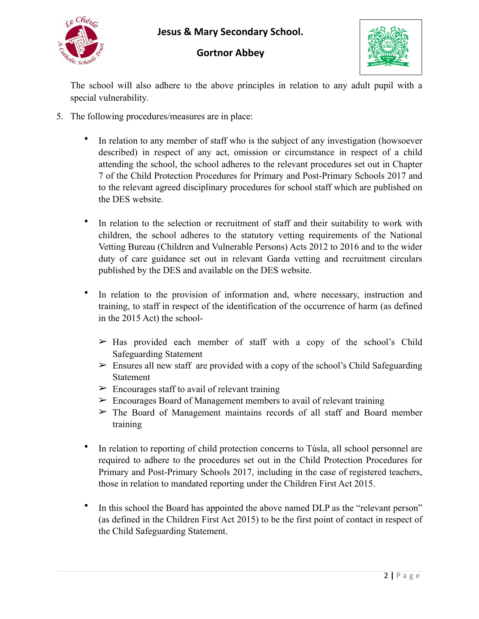







The school will also adhere to the above principles in relation to any adult pupil with a special vulnerability.

- 5. The following procedures/measures are in place:
	- In relation to any member of staff who is the subject of any investigation (howsoever described) in respect of any act, omission or circumstance in respect of a child attending the school, the school adheres to the relevant procedures set out in Chapter 7 of the Child Protection Procedures for Primary and Post-Primary Schools 2017 and to the relevant agreed disciplinary procedures for school staff which are published on the DES website.
	- In relation to the selection or recruitment of staff and their suitability to work with children, the school adheres to the statutory vetting requirements of the National Vetting Bureau (Children and Vulnerable Persons) Acts 2012 to 2016 and to the wider duty of care guidance set out in relevant Garda vetting and recruitment circulars published by the DES and available on the DES website.
	- In relation to the provision of information and, where necessary, instruction and training, to staff in respect of the identification of the occurrence of harm (as defined in the 2015 Act) the school-
		- $\geq$  Has provided each member of staff with a copy of the school's Child Safeguarding Statement
		- $\geq$  Ensures all new staff are provided with a copy of the school's Child Safeguarding Statement
		- $\triangleright$  Encourages staff to avail of relevant training
		- $\triangleright$  Encourages Board of Management members to avail of relevant training
		- $\triangleright$  The Board of Management maintains records of all staff and Board member training
	- In relation to reporting of child protection concerns to Túsla, all school personnel are required to adhere to the procedures set out in the Child Protection Procedures for Primary and Post-Primary Schools 2017, including in the case of registered teachers, those in relation to mandated reporting under the Children First Act 2015.
	- In this school the Board has appointed the above named DLP as the "relevant person" (as defined in the Children First Act 2015) to be the first point of contact in respect of the Child Safeguarding Statement.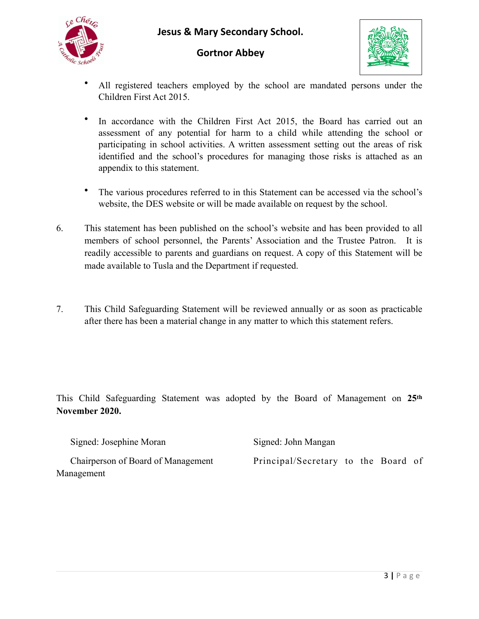**Jesus & Mary Secondary School.** 







- All registered teachers employed by the school are mandated persons under the Children First Act 2015.
- In accordance with the Children First Act 2015, the Board has carried out an assessment of any potential for harm to a child while attending the school or participating in school activities. A written assessment setting out the areas of risk identified and the school's procedures for managing those risks is attached as an appendix to this statement.
- The various procedures referred to in this Statement can be accessed via the school's website, the DES website or will be made available on request by the school.
- 6. This statement has been published on the school's website and has been provided to all members of school personnel, the Parents' Association and the Trustee Patron. It is readily accessible to parents and guardians on request. A copy of this Statement will be made available to Tusla and the Department if requested.
- 7. This Child Safeguarding Statement will be reviewed annually or as soon as practicable after there has been a material change in any matter to which this statement refers.

This Child Safeguarding Statement was adopted by the Board of Management on **25th November 2020.**

|            | Signed: Josephine Moran            | Signed: John Mangan                 |  |  |  |  |
|------------|------------------------------------|-------------------------------------|--|--|--|--|
|            | Chairperson of Board of Management | Principal/Secretary to the Board of |  |  |  |  |
| Management |                                    |                                     |  |  |  |  |